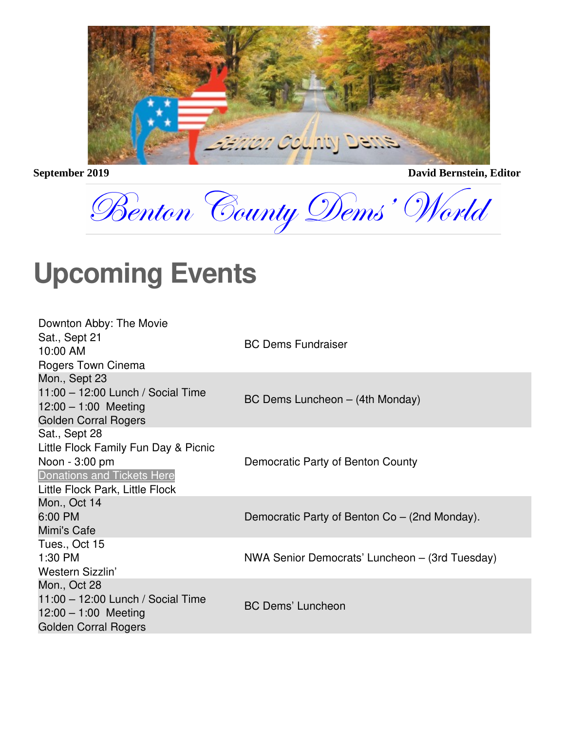

**September 2019** David Bernstein, Editor

Benton County Dems' World

### **Upcoming Events**

| Downton Abby: The Movie<br>Sat., Sept 21<br>10:00 AM<br>Rogers Town Cinema                                                                      | <b>BC Dems Fundraiser</b>                      |
|-------------------------------------------------------------------------------------------------------------------------------------------------|------------------------------------------------|
| Mon., Sept 23<br>11:00 - 12:00 Lunch / Social Time<br>$12:00 - 1:00$ Meeting<br><b>Golden Corral Rogers</b>                                     | BC Dems Luncheon - (4th Monday)                |
| Sat., Sept 28<br>Little Flock Family Fun Day & Picnic<br>Noon - 3:00 pm<br><b>Donations and Tickets Here</b><br>Little Flock Park, Little Flock | Democratic Party of Benton County              |
| Mon., Oct 14<br>6:00 PM<br>Mimi's Cafe                                                                                                          | Democratic Party of Benton Co – (2nd Monday).  |
| Tues., Oct 15<br>1:30 PM<br>Western Sizzlin'                                                                                                    | NWA Senior Democrats' Luncheon – (3rd Tuesday) |
| Mon., Oct 28<br>11:00 - 12:00 Lunch / Social Time<br>$12:00 - 1:00$ Meeting<br><b>Golden Corral Rogers</b>                                      | <b>BC Dems' Luncheon</b>                       |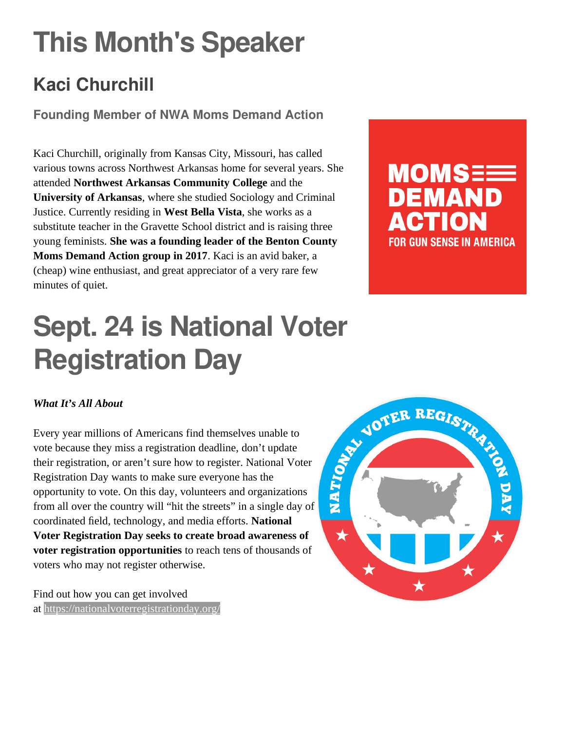# **This Month's Speaker**

### **Kaci Churchill**

**Founding Member of NWA Moms Demand Action**

Kaci Churchill, originally from Kansas City, Missouri, has called various towns across Northwest Arkansas home for several years. She attended **Northwest Arkansas Community College** and the **University of Arkansas**, where she studied Sociology and Criminal Justice. Currently residing in **West Bella Vista**, she works as a substitute teacher in the Gravette School district and is raising three young feminists. **She was a founding leader of the Benton County Moms Demand Action group in 2017**. Kaci is an avid baker, a (cheap) wine enthusiast, and great appreciator of a very rare few minutes of quiet.



## **Sept. 24 is National Voter Registration Day**

#### *What It's All About*

Every year millions of Americans find themselves unable to vote because they miss a registration deadline, don't update their registration, or aren't sure how to register. National Voter Registration Day wants to make sure everyone has the opportunity to vote. On this day, volunteers and organizations from all over the country will "hit the streets" in a single day of coordinated field, technology, and media efforts. **National Voter Registration Day seeks to create broad awareness of voter registration opportunities** to reach tens of thousands of voters who may not register otherwise.

Find out how you can get involved at <https://nationalvoterregistrationday.org/>

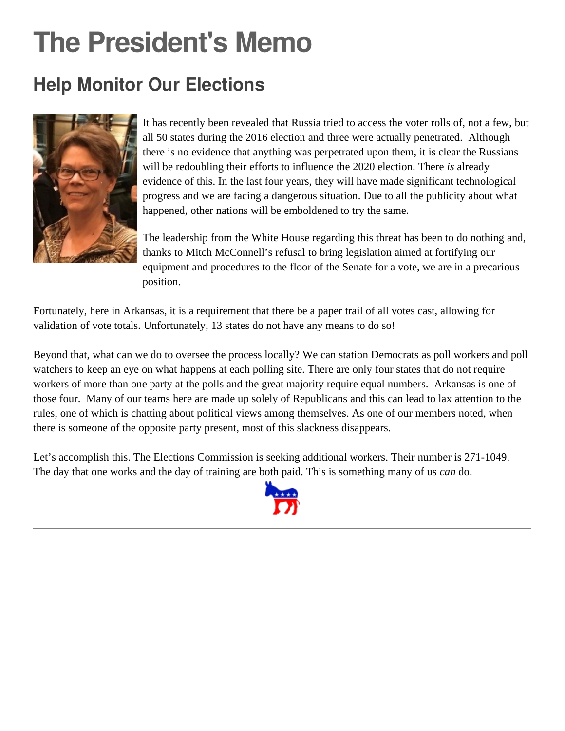## **The President's Memo**

### **Help Monitor Our Elections**



It has recently been revealed that Russia tried to access the voter rolls of, not a few, but all 50 states during the 2016 election and three were actually penetrated. Although there is no evidence that anything was perpetrated upon them, it is clear the Russians will be redoubling their efforts to influence the 2020 election. There *is* already evidence of this. In the last four years, they will have made significant technological progress and we are facing a dangerous situation. Due to all the publicity about what happened, other nations will be emboldened to try the same.

The leadership from the White House regarding this threat has been to do nothing and, thanks to Mitch McConnell's refusal to bring legislation aimed at fortifying our equipment and procedures to the floor of the Senate for a vote, we are in a precarious position.

Fortunately, here in Arkansas, it is a requirement that there be a paper trail of all votes cast, allowing for validation of vote totals. Unfortunately, 13 states do not have any means to do so!

Beyond that, what can we do to oversee the process locally? We can station Democrats as poll workers and poll watchers to keep an eye on what happens at each polling site. There are only four states that do not require workers of more than one party at the polls and the great majority require equal numbers. Arkansas is one of those four. Many of our teams here are made up solely of Republicans and this can lead to lax attention to the rules, one of which is chatting about political views among themselves. As one of our members noted, when there is someone of the opposite party present, most of this slackness disappears.

Let's accomplish this. The Elections Commission is seeking additional workers. Their number is 271-1049. The day that one works and the day of training are both paid. This is something many of us *can* do.

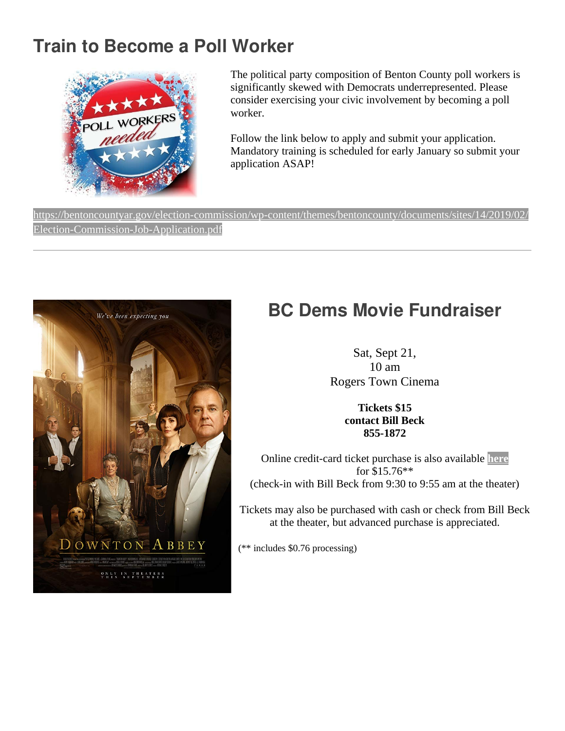#### **Train to Become a Poll Worker**



The political party composition of Benton County poll workers is significantly skewed with Democrats underrepresented. Please consider exercising your civic involvement by becoming a poll worker.

Follow the link below to apply and submit your application. Mandatory training is scheduled for early January so submit your application ASAP!

[https://bentoncountyar.gov/election-commission/wp-content/themes/bentoncounty/documents/sites/14/2019/02/](https://bentoncountyar.gov/election-commission/wp-content/themes/bentoncounty/documents/sites/14/2019/02/Election-Commission-Job-Application.pdf) [Election-Commission-Job-Application.pdf](https://bentoncountyar.gov/election-commission/wp-content/themes/bentoncounty/documents/sites/14/2019/02/Election-Commission-Job-Application.pdf)



#### **BC Dems Movie Fundraiser**

Sat, Sept 21, 10 am Rogers Town Cinema

> **Tickets \$15 contact Bill Beck 855-1872**

Online credit-card ticket purchase is also available **[here](https://www.bcdems.org/fundraiser.html)** for \$15.76\*\* (check-in with Bill Beck from 9:30 to 9:55 am at the theater)

Tickets may also be purchased with cash or check from Bill Beck at the theater, but advanced purchase is appreciated.

(\*\* includes \$0.76 processing)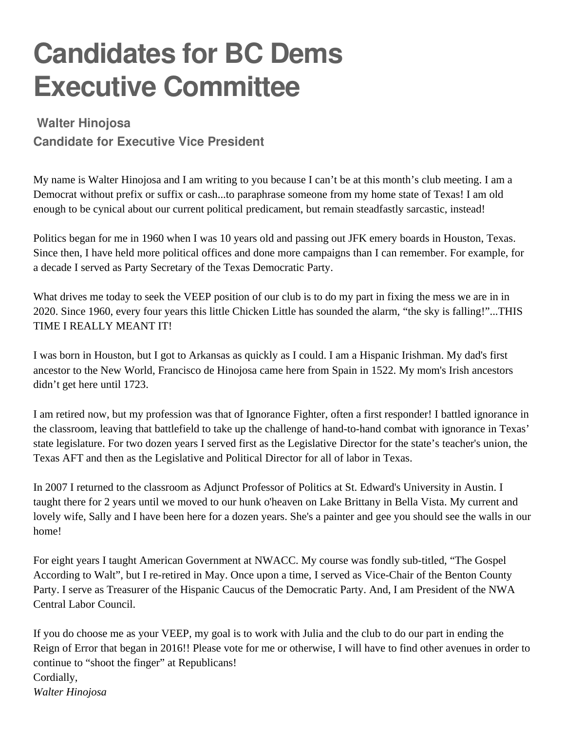## **Candidates for BC Dems Executive Committee**

#### **Walter Hinojosa**

**Candidate for Executive Vice President**

My name is Walter Hinojosa and I am writing to you because I can't be at this month's club meeting. I am a Democrat without prefix or suffix or cash...to paraphrase someone from my home state of Texas! I am old enough to be cynical about our current political predicament, but remain steadfastly sarcastic, instead!

Politics began for me in 1960 when I was 10 years old and passing out JFK emery boards in Houston, Texas. Since then, I have held more political offices and done more campaigns than I can remember. For example, for a decade I served as Party Secretary of the Texas Democratic Party.

What drives me today to seek the VEEP position of our club is to do my part in fixing the mess we are in in 2020. Since 1960, every four years this little Chicken Little has sounded the alarm, "the sky is falling!"...THIS TIME I REALLY MEANT IT!

I was born in Houston, but I got to Arkansas as quickly as I could. I am a Hispanic Irishman. My dad's first ancestor to the New World, Francisco de Hinojosa came here from Spain in 1522. My mom's Irish ancestors didn't get here until 1723.

I am retired now, but my profession was that of Ignorance Fighter, often a first responder! I battled ignorance in the classroom, leaving that battlefield to take up the challenge of hand-to-hand combat with ignorance in Texas' state legislature. For two dozen years I served first as the Legislative Director for the state's teacher's union, the Texas AFT and then as the Legislative and Political Director for all of labor in Texas.

In 2007 I returned to the classroom as Adjunct Professor of Politics at St. Edward's University in Austin. I taught there for 2 years until we moved to our hunk o'heaven on Lake Brittany in Bella Vista. My current and lovely wife, Sally and I have been here for a dozen years. She's a painter and gee you should see the walls in our home!

For eight years I taught American Government at NWACC. My course was fondly sub-titled, "The Gospel According to Walt", but I re-retired in May. Once upon a time, I served as Vice-Chair of the Benton County Party. I serve as Treasurer of the Hispanic Caucus of the Democratic Party. And, I am President of the NWA Central Labor Council.

If you do choose me as your VEEP, my goal is to work with Julia and the club to do our part in ending the Reign of Error that began in 2016!! Please vote for me or otherwise, I will have to find other avenues in order to continue to "shoot the finger" at Republicans! Cordially, *Walter Hinojosa*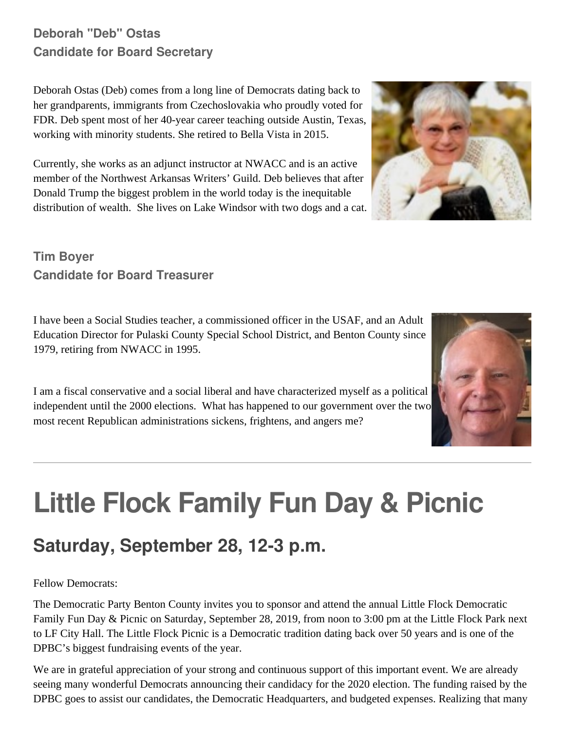#### **Deborah "Deb" Ostas Candidate for Board Secretary**

Deborah Ostas (Deb) comes from a long line of Democrats dating back to her grandparents, immigrants from Czechoslovakia who proudly voted for FDR. Deb spent most of her 40-year career teaching outside Austin, Texas, working with minority students. She retired to Bella Vista in 2015.

Currently, she works as an adjunct instructor at NWACC and is an active member of the Northwest Arkansas Writers' Guild. Deb believes that after Donald Trump the biggest problem in the world today is the inequitable distribution of wealth. She lives on Lake Windsor with two dogs and a cat.

**Tim Boyer Candidate for Board Treasurer**

I have been a Social Studies teacher, a commissioned officer in the USAF, and an Adult Education Director for Pulaski County Special School District, and Benton County since 1979, retiring from NWACC in 1995.

I am a fiscal conservative and a social liberal and have characterized myself as a political independent until the 2000 elections. What has happened to our government over the two most recent Republican administrations sickens, frightens, and angers me?

# **Little Flock Family Fun Day & Picnic**

### **Saturday, September 28, 12-3 p.m.**

Fellow Democrats:

The Democratic Party Benton County invites you to sponsor and attend the annual Little Flock Democratic Family Fun Day & Picnic on Saturday, September 28, 2019, from noon to 3:00 pm at the Little Flock Park next to LF City Hall. The Little Flock Picnic is a Democratic tradition dating back over 50 years and is one of the DPBC's biggest fundraising events of the year.

We are in grateful appreciation of your strong and continuous support of this important event. We are already seeing many wonderful Democrats announcing their candidacy for the 2020 election. The funding raised by the DPBC goes to assist our candidates, the Democratic Headquarters, and budgeted expenses. Realizing that many



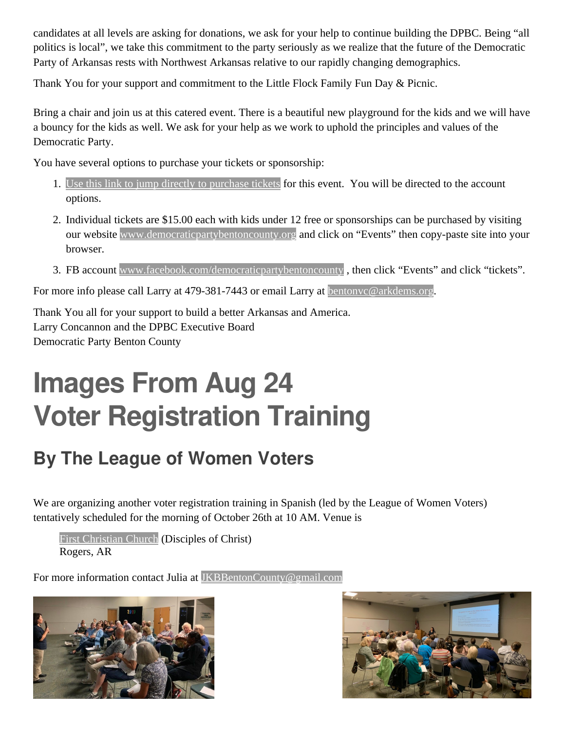candidates at all levels are asking for donations, we ask for your help to continue building the DPBC. Being "all politics is local", we take this commitment to the party seriously as we realize that the future of the Democratic Party of Arkansas rests with Northwest Arkansas relative to our rapidly changing demographics.

Thank You for your support and commitment to the Little Flock Family Fun Day & Picnic.

Bring a chair and join us at this catered event. There is a beautiful new playground for the kids and we will have a bouncy for the kids as well. We ask for your help as we work to uphold the principles and values of the Democratic Party.

You have several options to purchase your tickets or sponsorship:

- 1. [Use this link to jump directly to purchase tickets](https://secure.actblue.com/donate/littleflock2019) for this event. You will be directed to the account options.
- 2. Individual tickets are \$15.00 each with kids under 12 free or sponsorships can be purchased by visiting our website [www.democraticpartybentoncounty.org](http://www.democraticpartybentoncounty.org/) and click on "Events" then copy-paste site into your browser.
- 3. FB account [www.facebook.com/democraticpartybentoncounty](http://www.facebook.com/democraticpartybentoncounty) , then click "Events" and click "tickets".

For more info please call Larry at 479-381-7443 or email Larry at [bentonvc@arkdems.org](mailto:bentonvc@arkdems.org).

Thank You all for your support to build a better Arkansas and America. Larry Concannon and the DPBC Executive Board Democratic Party Benton County

## **Images From Aug 24 Voter Registration Training**

### **By The League of Women Voters**

We are organizing another voter registration training in Spanish (led by the League of Women Voters) tentatively scheduled for the morning of October 26th at 10 AM. Venue is

[First Christian Church](http://fccrogers.org/) (Disciples of Christ) Rogers, AR

For more information contact Julia at [JKBBentonCounty@gmail.com](mailto:JKBBentonCounty@gmail.com)



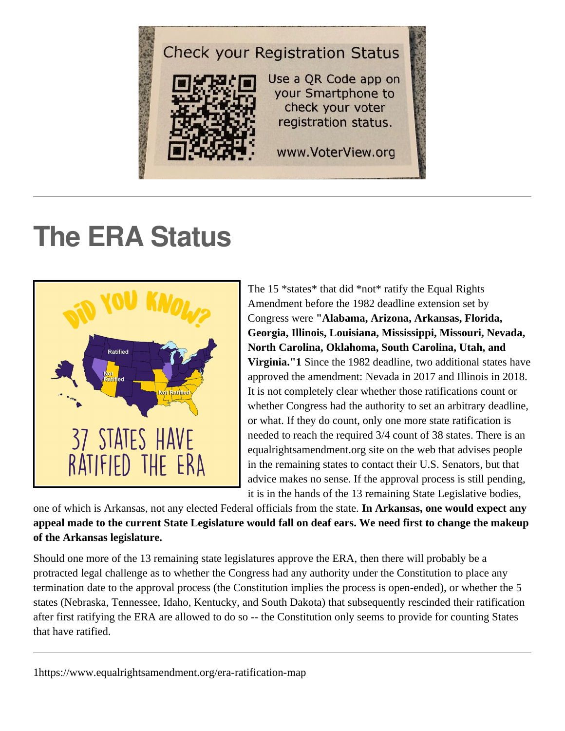

## **The ERA Status**



The 15 \*states\* that did \*not\* ratify the Equal Rights Amendment before the 1982 deadline extension set by Congress were **"Alabama, Arizona, Arkansas, Florida, Georgia, Illinois, Louisiana, Mississippi, Missouri, Nevada, North Carolina, Oklahoma, South Carolina, Utah, and Virginia."1** Since the 1982 deadline, two additional states have approved the amendment: Nevada in 2017 and Illinois in 2018. It is not completely clear whether those ratifications count or whether Congress had the authority to set an arbitrary deadline, or what. If they do count, only one more state ratification is needed to reach the required 3/4 count of 38 states. There is an equalrightsamendment.org site on the web that advises people in the remaining states to contact their U.S. Senators, but that advice makes no sense. If the approval process is still pending, it is in the hands of the 13 remaining State Legislative bodies,

one of which is Arkansas, not any elected Federal officials from the state. **In Arkansas, one would expect any appeal made to the current State Legislature would fall on deaf ears. We need first to change the makeup of the Arkansas legislature.**

Should one more of the 13 remaining state legislatures approve the ERA, then there will probably be a protracted legal challenge as to whether the Congress had any authority under the Constitution to place any termination date to the approval process (the Constitution implies the process is open-ended), or whether the 5 states (Nebraska, Tennessee, Idaho, Kentucky, and South Dakota) that subsequently rescinded their ratification after first ratifying the ERA are allowed to do so -- the Constitution only seems to provide for counting States that have ratified.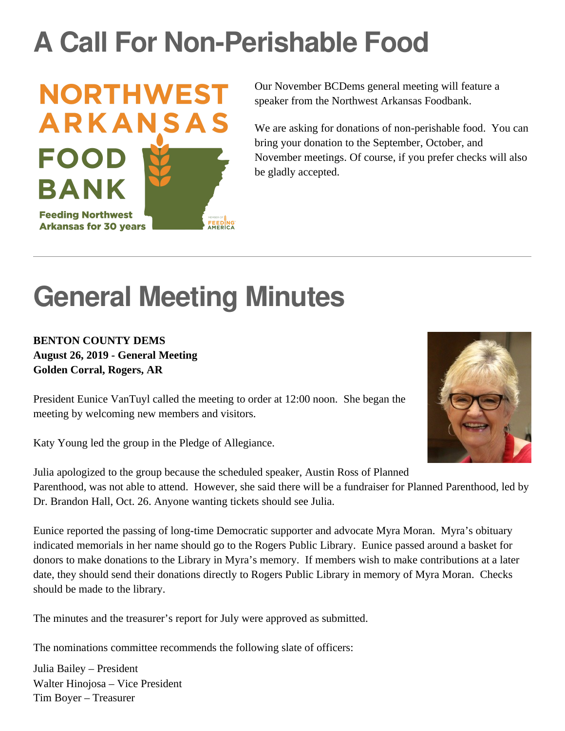## **A Call For Non-Perishable Food**



Our November BCDems general meeting will feature a speaker from the Northwest Arkansas Foodbank.

We are asking for donations of non-perishable food. You can bring your donation to the September, October, and November meetings. Of course, if you prefer checks will also be gladly accepted.

## **General Meeting Minutes**

#### **BENTON COUNTY DEMS August 26, 2019 - General Meeting Golden Corral, Rogers, AR**

President Eunice VanTuyl called the meeting to order at 12:00 noon. She began the meeting by welcoming new members and visitors.

Katy Young led the group in the Pledge of Allegiance.



Julia apologized to the group because the scheduled speaker, Austin Ross of Planned Parenthood, was not able to attend. However, she said there will be a fundraiser for Planned Parenthood, led by Dr. Brandon Hall, Oct. 26. Anyone wanting tickets should see Julia.

Eunice reported the passing of long-time Democratic supporter and advocate Myra Moran. Myra's obituary indicated memorials in her name should go to the Rogers Public Library. Eunice passed around a basket for donors to make donations to the Library in Myra's memory. If members wish to make contributions at a later date, they should send their donations directly to Rogers Public Library in memory of Myra Moran. Checks should be made to the library.

The minutes and the treasurer's report for July were approved as submitted.

The nominations committee recommends the following slate of officers:

Julia Bailey – President Walter Hinojosa – Vice President Tim Boyer – Treasurer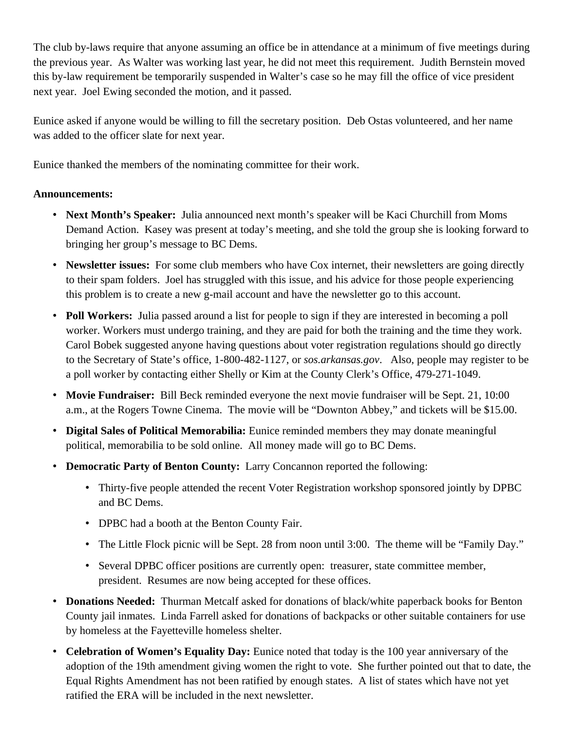The club by-laws require that anyone assuming an office be in attendance at a minimum of five meetings during the previous year. As Walter was working last year, he did not meet this requirement. Judith Bernstein moved this by-law requirement be temporarily suspended in Walter's case so he may fill the office of vice president next year. Joel Ewing seconded the motion, and it passed.

Eunice asked if anyone would be willing to fill the secretary position. Deb Ostas volunteered, and her name was added to the officer slate for next year.

Eunice thanked the members of the nominating committee for their work.

#### **Announcements:**

- **Next Month's Speaker:** Julia announced next month's speaker will be Kaci Churchill from Moms Demand Action. Kasey was present at today's meeting, and she told the group she is looking forward to bringing her group's message to BC Dems.
- **Newsletter issues:** For some club members who have Cox internet, their newsletters are going directly to their spam folders. Joel has struggled with this issue, and his advice for those people experiencing this problem is to create a new g-mail account and have the newsletter go to this account.
- **Poll Workers:** Julia passed around a list for people to sign if they are interested in becoming a poll worker. Workers must undergo training, and they are paid for both the training and the time they work. Carol Bobek suggested anyone having questions about voter registration regulations should go directly to the Secretary of State's office, 1-800-482-1127, or *sos.arkansas.gov*. Also, people may register to be a poll worker by contacting either Shelly or Kim at the County Clerk's Office, 479-271-1049.
- **Movie Fundraiser:** Bill Beck reminded everyone the next movie fundraiser will be Sept. 21, 10:00 a.m., at the Rogers Towne Cinema. The movie will be "Downton Abbey," and tickets will be \$15.00.
- **Digital Sales of Political Memorabilia:** Eunice reminded members they may donate meaningful political, memorabilia to be sold online. All money made will go to BC Dems.
- **Democratic Party of Benton County:** Larry Concannon reported the following:
	- Thirty-five people attended the recent Voter Registration workshop sponsored jointly by DPBC and BC Dems.
	- DPBC had a booth at the Benton County Fair.
	- The Little Flock picnic will be Sept. 28 from noon until 3:00. The theme will be "Family Day."
	- Several DPBC officer positions are currently open: treasurer, state committee member, president. Resumes are now being accepted for these offices.
- **Donations Needed:** Thurman Metcalf asked for donations of black/white paperback books for Benton County jail inmates. Linda Farrell asked for donations of backpacks or other suitable containers for use by homeless at the Fayetteville homeless shelter.
- **Celebration of Women's Equality Day:** Eunice noted that today is the 100 year anniversary of the adoption of the 19th amendment giving women the right to vote. She further pointed out that to date, the Equal Rights Amendment has not been ratified by enough states. A list of states which have not yet ratified the ERA will be included in the next newsletter.